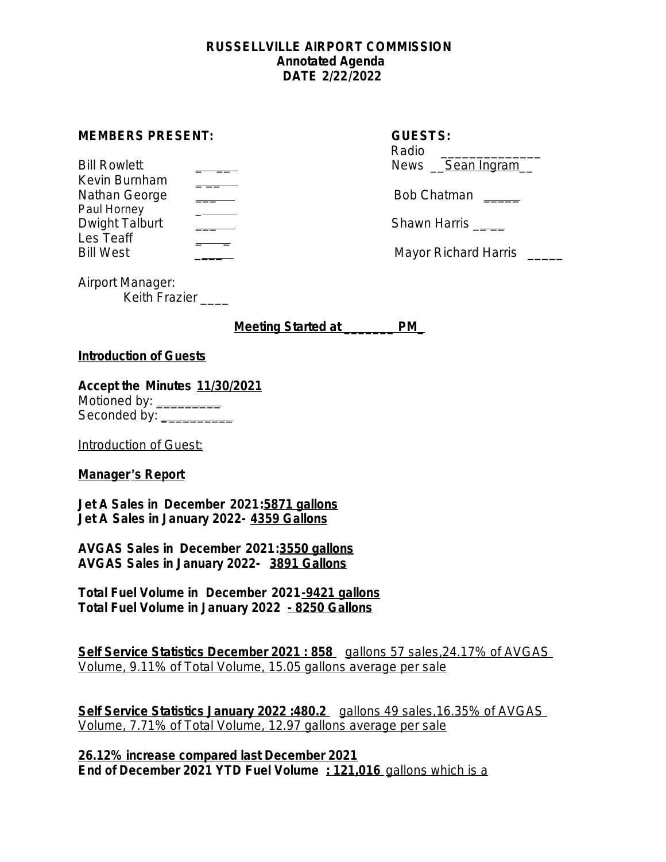#### **RUSSELLVILLE AIRPORT COMMISSION Annotated Agenda DATE 2/22/2022**

#### **MEMBERS PRESENT:**

| <b>Bill Rowlett</b> | News Sean Ingram     |
|---------------------|----------------------|
| Kevin Burnham       |                      |
| Nathan George       | Bob Chatman          |
| Paul Horney         |                      |
| Dwight Talburt      | Shawn Harris         |
| Les Teaff           |                      |
| Rill <i>M</i> act   | Mayor Richard Harris |

| <b>GUESTS:</b><br>Radio<br>News <u>Sean Ingram</u> |
|----------------------------------------------------|
| Bob Chatman                                        |
| Chough Llorric                                     |

Bill West \_\_\_\_ Mayor Richard Harris \_\_\_\_\_

Airport Manager: Keith Frazier \_\_\_\_

**Meeting Started at \_\_\_\_\_\_\_ PM\_**

# **Introduction of Guests**

**Accept the Minutes 11/30/2021** Motioned by: \_\_\_\_\_\_\_\_\_\_ Seconded by: **\_**\_\_\_\_\_\_\_\_\_

Introduction of Guest:

# **Manager**'**s Report**

**Jet A Sales in December 2021:5871 gallons Jet A Sales in January 2022- 4359 Gallons**

**AVGAS Sales in December 2021:3550 gallons AVGAS Sales in January 2022- 3891 Gallons**

**Total Fuel Volume in December 2021-9421 gallons Total Fuel Volume in January 2022 - 8250 Gallons**

**Self Service Statistics December 2021 : 858** gallons 57 sales, 24.17% of AVGAS Volume, 9.11% of Total Volume, 15.05 gallons average per sale

**Self Service Statistics January 2022 :480.2** gallons 49 sales,16.35% of AVGAS Volume, 7.71% of Total Volume, 12.97 gallons average per sale

**26.12% increase compared last December 2021 End of December 2021 YTD Fuel Volume : 121,016** gallons which is a